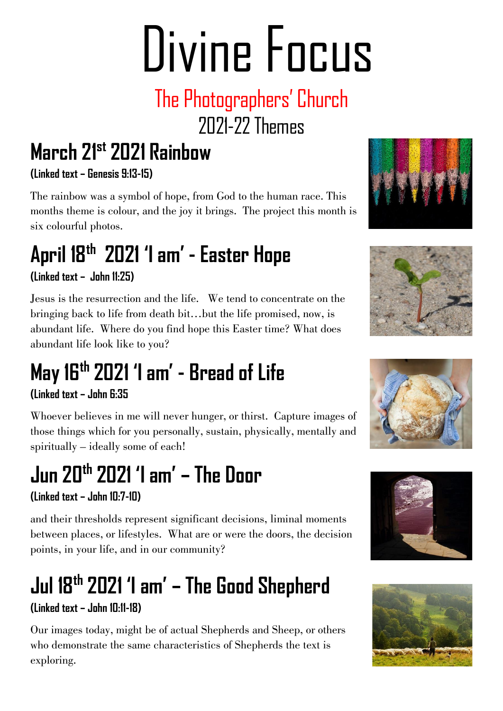# Divine Focus

### The Photographers' Church 2021-22Themes

### **March 21st 2021 Rainbow**

**(Linked text – Genesis 9:13-15)**

The rainbow was a symbol of hope, from God to the human race. This months theme is colour, and the joy it brings. The project this month is six colourful photos.

# **April 18th 2021 'I am ' - Easter Hope**

#### **(Linked text – John 11:25)**

Jesus is the resurrection and the life. We tend to concentrate on the bringing back to life from death bit…but the life promised, now, is abundant life. Where do you find hope this Easter time? What does abundant life look like to you?

### **May 16th 2021 'I am ' - Bread of Life**

#### **(Linked text – John 6:35**

Whoever believes in me will never hunger, or thirst. Capture images of those things which for you personally, sustain, physically, mentally and spiritually – ideally some of each!

### **Jun 20th 2021 'I am ' – The Door**

#### **(Linked text – John 10:7-10)**

and their thresholds represent significant decisions, liminal moments between places, or lifestyles. What are or were the doors, the decision points, in your life, and in our community?

## **Jul 18th 2021 'I am ' – The Good Shepherd**

#### **(Linked text – John 10:11-18)**

Our images today, might be of actual Shepherds and Sheep, or others who demonstrate the same characteristics of Shepherds the text is exploring.